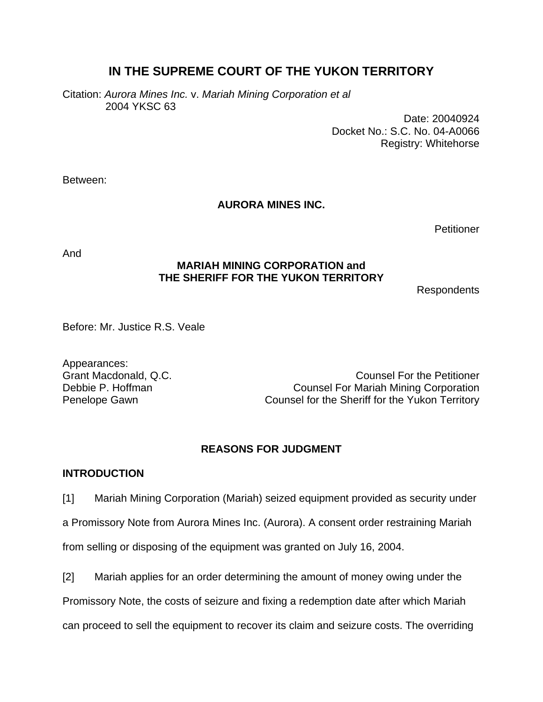# **IN THE SUPREME COURT OF THE YUKON TERRITORY**

Citation: *Aurora Mines Inc.* v. *Mariah Mining Corporation et al*  2004 YKSC 63

> Date: 20040924 Docket No.: S.C. No. 04-A0066 Registry: Whitehorse

Between:

# **AURORA MINES INC.**

**Petitioner** 

And

# **MARIAH MINING CORPORATION and THE SHERIFF FOR THE YUKON TERRITORY**

Respondents

Before: Mr. Justice R.S. Veale

Appearances:

Grant Macdonald, Q.C. Counsel For the Petitioner Debbie P. Hoffman Counsel For Mariah Mining Corporation Penelope Gawn Counsel for the Sheriff for the Yukon Territory

# **REASONS FOR JUDGMENT**

# **INTRODUCTION**

[1] Mariah Mining Corporation (Mariah) seized equipment provided as security under a Promissory Note from Aurora Mines Inc. (Aurora). A consent order restraining Mariah from selling or disposing of the equipment was granted on July 16, 2004.

[2] Mariah applies for an order determining the amount of money owing under the

Promissory Note, the costs of seizure and fixing a redemption date after which Mariah

can proceed to sell the equipment to recover its claim and seizure costs. The overriding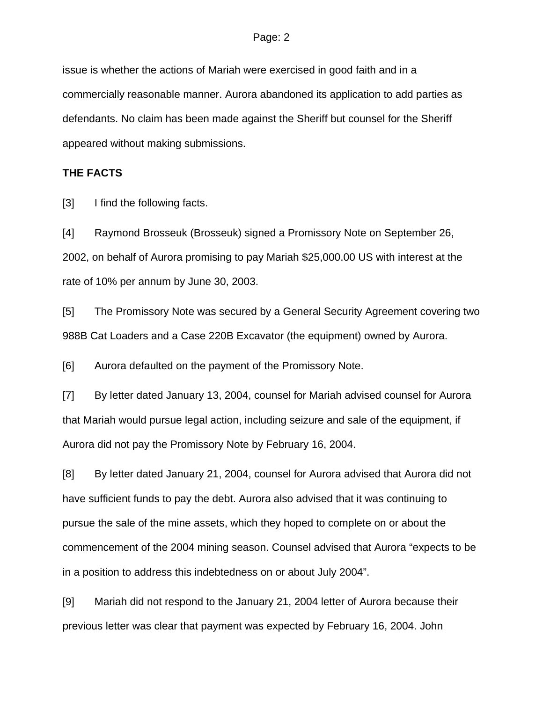issue is whether the actions of Mariah were exercised in good faith and in a commercially reasonable manner. Aurora abandoned its application to add parties as defendants. No claim has been made against the Sheriff but counsel for the Sheriff appeared without making submissions.

## **THE FACTS**

[3] I find the following facts.

[4] Raymond Brosseuk (Brosseuk) signed a Promissory Note on September 26, 2002, on behalf of Aurora promising to pay Mariah \$25,000.00 US with interest at the rate of 10% per annum by June 30, 2003.

[5] The Promissory Note was secured by a General Security Agreement covering two 988B Cat Loaders and a Case 220B Excavator (the equipment) owned by Aurora.

[6] Aurora defaulted on the payment of the Promissory Note.

[7] By letter dated January 13, 2004, counsel for Mariah advised counsel for Aurora that Mariah would pursue legal action, including seizure and sale of the equipment, if Aurora did not pay the Promissory Note by February 16, 2004.

[8] By letter dated January 21, 2004, counsel for Aurora advised that Aurora did not have sufficient funds to pay the debt. Aurora also advised that it was continuing to pursue the sale of the mine assets, which they hoped to complete on or about the commencement of the 2004 mining season. Counsel advised that Aurora "expects to be in a position to address this indebtedness on or about July 2004".

[9] Mariah did not respond to the January 21, 2004 letter of Aurora because their previous letter was clear that payment was expected by February 16, 2004. John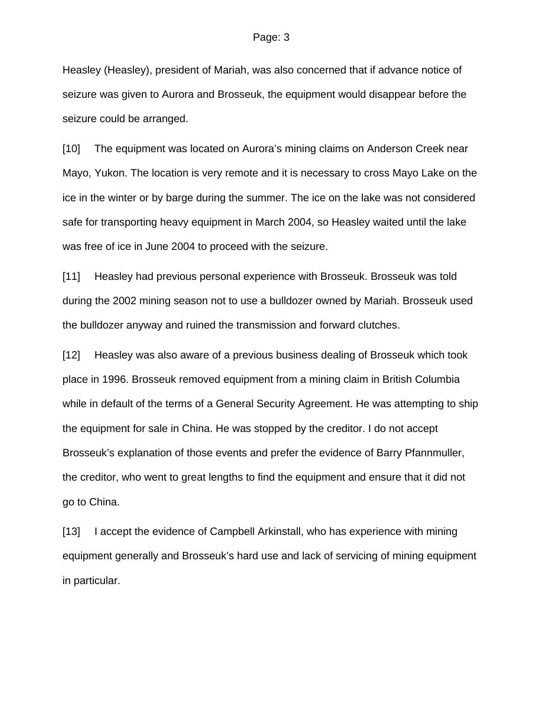Heasley (Heasley), president of Mariah, was also concerned that if advance notice of seizure was given to Aurora and Brosseuk, the equipment would disappear before the seizure could be arranged.

[10] The equipment was located on Aurora's mining claims on Anderson Creek near Mayo, Yukon. The location is very remote and it is necessary to cross Mayo Lake on the ice in the winter or by barge during the summer. The ice on the lake was not considered safe for transporting heavy equipment in March 2004, so Heasley waited until the lake was free of ice in June 2004 to proceed with the seizure.

[11] Heasley had previous personal experience with Brosseuk. Brosseuk was told during the 2002 mining season not to use a bulldozer owned by Mariah. Brosseuk used the bulldozer anyway and ruined the transmission and forward clutches.

[12] Heasley was also aware of a previous business dealing of Brosseuk which took place in 1996. Brosseuk removed equipment from a mining claim in British Columbia while in default of the terms of a General Security Agreement. He was attempting to ship the equipment for sale in China. He was stopped by the creditor. I do not accept Brosseuk's explanation of those events and prefer the evidence of Barry Pfannmuller, the creditor, who went to great lengths to find the equipment and ensure that it did not go to China.

[13] I accept the evidence of Campbell Arkinstall, who has experience with mining equipment generally and Brosseuk's hard use and lack of servicing of mining equipment in particular.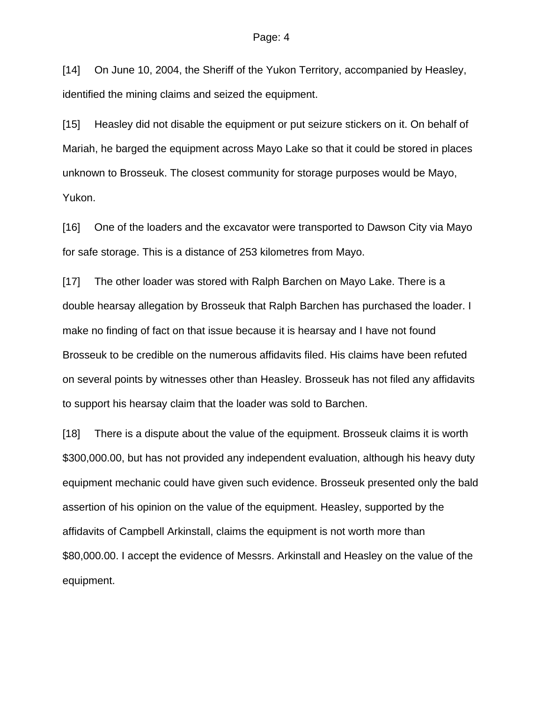[14] On June 10, 2004, the Sheriff of the Yukon Territory, accompanied by Heasley, identified the mining claims and seized the equipment.

[15] Heasley did not disable the equipment or put seizure stickers on it. On behalf of Mariah, he barged the equipment across Mayo Lake so that it could be stored in places unknown to Brosseuk. The closest community for storage purposes would be Mayo, Yukon.

[16] One of the loaders and the excavator were transported to Dawson City via Mayo for safe storage. This is a distance of 253 kilometres from Mayo.

[17] The other loader was stored with Ralph Barchen on Mayo Lake. There is a double hearsay allegation by Brosseuk that Ralph Barchen has purchased the loader. I make no finding of fact on that issue because it is hearsay and I have not found Brosseuk to be credible on the numerous affidavits filed. His claims have been refuted on several points by witnesses other than Heasley. Brosseuk has not filed any affidavits to support his hearsay claim that the loader was sold to Barchen.

[18] There is a dispute about the value of the equipment. Brosseuk claims it is worth \$300,000.00, but has not provided any independent evaluation, although his heavy duty equipment mechanic could have given such evidence. Brosseuk presented only the bald assertion of his opinion on the value of the equipment. Heasley, supported by the affidavits of Campbell Arkinstall, claims the equipment is not worth more than \$80,000.00. I accept the evidence of Messrs. Arkinstall and Heasley on the value of the equipment.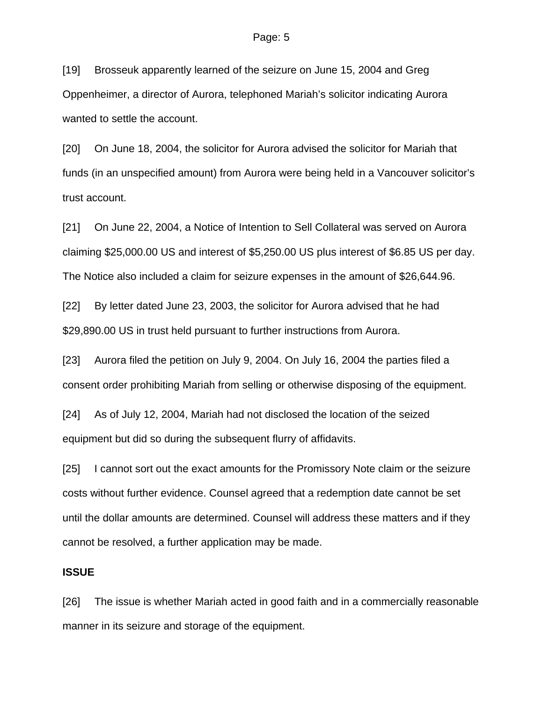[19] Brosseuk apparently learned of the seizure on June 15, 2004 and Greg Oppenheimer, a director of Aurora, telephoned Mariah's solicitor indicating Aurora wanted to settle the account.

[20] On June 18, 2004, the solicitor for Aurora advised the solicitor for Mariah that funds (in an unspecified amount) from Aurora were being held in a Vancouver solicitor's trust account.

[21] On June 22, 2004, a Notice of Intention to Sell Collateral was served on Aurora claiming \$25,000.00 US and interest of \$5,250.00 US plus interest of \$6.85 US per day. The Notice also included a claim for seizure expenses in the amount of \$26,644.96.

[22] By letter dated June 23, 2003, the solicitor for Aurora advised that he had \$29,890.00 US in trust held pursuant to further instructions from Aurora.

[23] Aurora filed the petition on July 9, 2004. On July 16, 2004 the parties filed a consent order prohibiting Mariah from selling or otherwise disposing of the equipment.

[24] As of July 12, 2004, Mariah had not disclosed the location of the seized equipment but did so during the subsequent flurry of affidavits.

[25] I cannot sort out the exact amounts for the Promissory Note claim or the seizure costs without further evidence. Counsel agreed that a redemption date cannot be set until the dollar amounts are determined. Counsel will address these matters and if they cannot be resolved, a further application may be made.

### **ISSUE**

[26] The issue is whether Mariah acted in good faith and in a commercially reasonable manner in its seizure and storage of the equipment.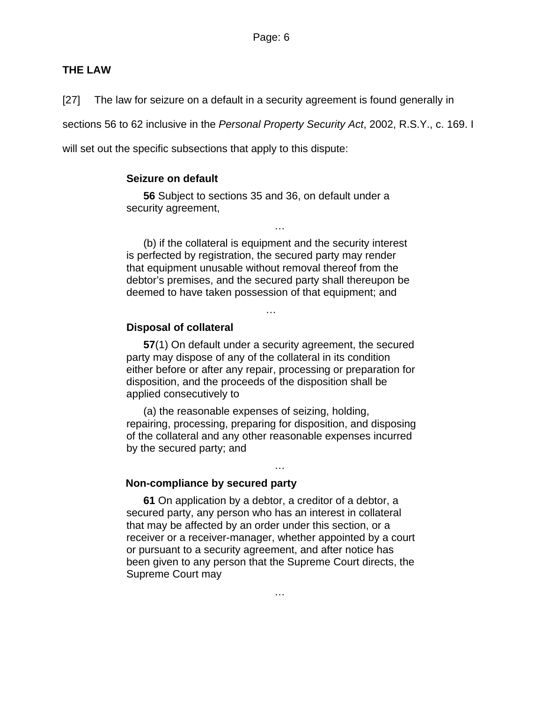## **THE LAW**

[27] The law for seizure on a default in a security agreement is found generally in

sections 56 to 62 inclusive in the *Personal Property Security Act*, 2002, R.S.Y., c. 169. I

will set out the specific subsections that apply to this dispute:

#### **Seizure on default**

**56** Subject to sections 35 and 36, on default under a security agreement,

(b) if the collateral is equipment and the security interest is perfected by registration, the secured party may render that equipment unusable without removal thereof from the debtor's premises, and the secured party shall thereupon be deemed to have taken possession of that equipment; and

…

…

## **Disposal of collateral**

**57**(1) On default under a security agreement, the secured party may dispose of any of the collateral in its condition either before or after any repair, processing or preparation for disposition, and the proceeds of the disposition shall be applied consecutively to

(a) the reasonable expenses of seizing, holding, repairing, processing, preparing for disposition, and disposing of the collateral and any other reasonable expenses incurred by the secured party; and

…

#### **Non-compliance by secured party**

**61** On application by a debtor, a creditor of a debtor, a secured party, any person who has an interest in collateral that may be affected by an order under this section, or a receiver or a receiver-manager, whether appointed by a court or pursuant to a security agreement, and after notice has been given to any person that the Supreme Court directs, the Supreme Court may

…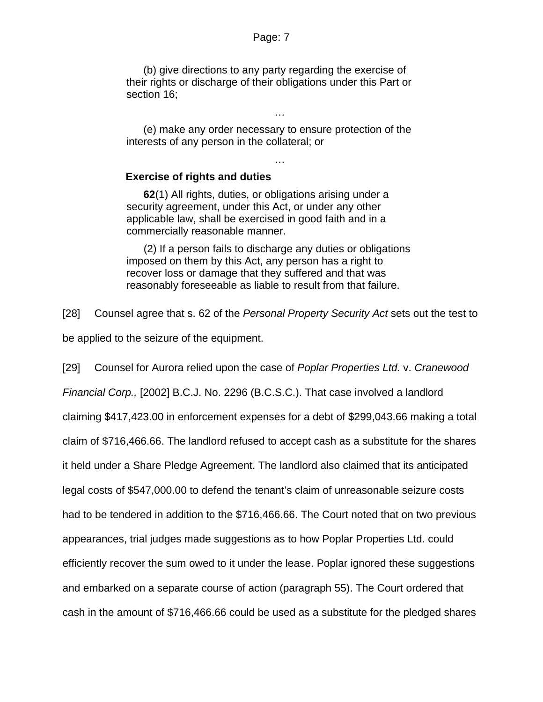(b) give directions to any party regarding the exercise of their rights or discharge of their obligations under this Part or section 16;

(e) make any order necessary to ensure protection of the interests of any person in the collateral; or

…

…

## **Exercise of rights and duties**

**62**(1) All rights, duties, or obligations arising under a security agreement, under this Act, or under any other applicable law, shall be exercised in good faith and in a commercially reasonable manner.

(2) If a person fails to discharge any duties or obligations imposed on them by this Act, any person has a right to recover loss or damage that they suffered and that was reasonably foreseeable as liable to result from that failure.

[28] Counsel agree that s. 62 of the *Personal Property Security Act* sets out the test to be applied to the seizure of the equipment.

[29] Counsel for Aurora relied upon the case of *Poplar Properties Ltd.* v. *Cranewood Financial Corp.,* [2002] B.C.J. No. 2296 (B.C.S.C.). That case involved a landlord claiming \$417,423.00 in enforcement expenses for a debt of \$299,043.66 making a total claim of \$716,466.66. The landlord refused to accept cash as a substitute for the shares it held under a Share Pledge Agreement. The landlord also claimed that its anticipated legal costs of \$547,000.00 to defend the tenant's claim of unreasonable seizure costs had to be tendered in addition to the \$716,466.66. The Court noted that on two previous appearances, trial judges made suggestions as to how Poplar Properties Ltd. could efficiently recover the sum owed to it under the lease. Poplar ignored these suggestions and embarked on a separate course of action (paragraph 55). The Court ordered that cash in the amount of \$716,466.66 could be used as a substitute for the pledged shares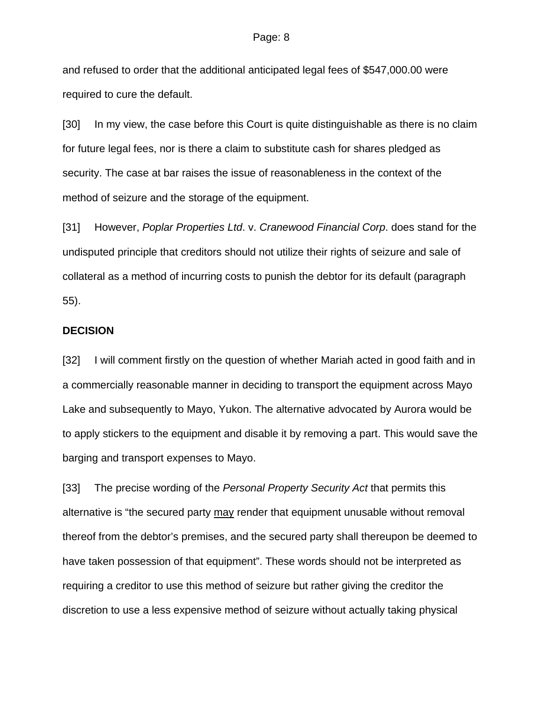and refused to order that the additional anticipated legal fees of \$547,000.00 were required to cure the default.

[30] In my view, the case before this Court is quite distinguishable as there is no claim for future legal fees, nor is there a claim to substitute cash for shares pledged as security. The case at bar raises the issue of reasonableness in the context of the method of seizure and the storage of the equipment.

[31] However, *Poplar Properties Ltd*. v. *Cranewood Financial Corp*. does stand for the undisputed principle that creditors should not utilize their rights of seizure and sale of collateral as a method of incurring costs to punish the debtor for its default (paragraph 55).

#### **DECISION**

[32] I will comment firstly on the question of whether Mariah acted in good faith and in a commercially reasonable manner in deciding to transport the equipment across Mayo Lake and subsequently to Mayo, Yukon. The alternative advocated by Aurora would be to apply stickers to the equipment and disable it by removing a part. This would save the barging and transport expenses to Mayo.

[33] The precise wording of the *Personal Property Security Act* that permits this alternative is "the secured party may render that equipment unusable without removal thereof from the debtor's premises, and the secured party shall thereupon be deemed to have taken possession of that equipment". These words should not be interpreted as requiring a creditor to use this method of seizure but rather giving the creditor the discretion to use a less expensive method of seizure without actually taking physical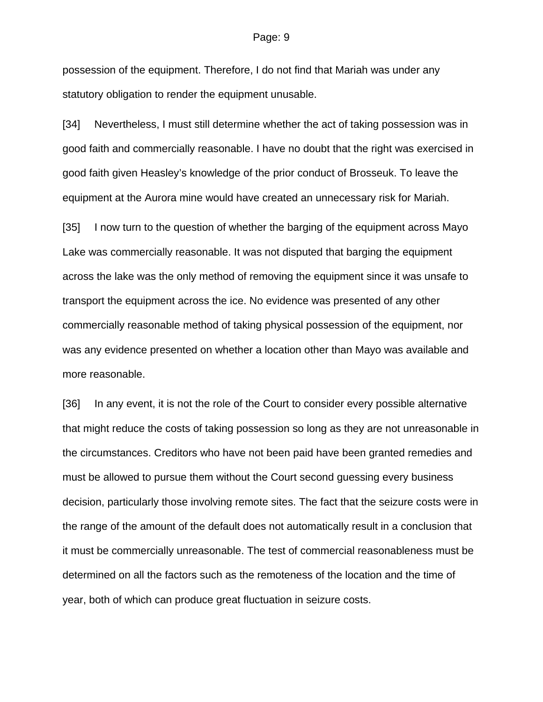possession of the equipment. Therefore, I do not find that Mariah was under any statutory obligation to render the equipment unusable.

[34] Nevertheless, I must still determine whether the act of taking possession was in good faith and commercially reasonable. I have no doubt that the right was exercised in good faith given Heasley's knowledge of the prior conduct of Brosseuk. To leave the equipment at the Aurora mine would have created an unnecessary risk for Mariah.

[35] I now turn to the question of whether the barging of the equipment across Mayo Lake was commercially reasonable. It was not disputed that barging the equipment across the lake was the only method of removing the equipment since it was unsafe to transport the equipment across the ice. No evidence was presented of any other commercially reasonable method of taking physical possession of the equipment, nor was any evidence presented on whether a location other than Mayo was available and more reasonable.

[36] In any event, it is not the role of the Court to consider every possible alternative that might reduce the costs of taking possession so long as they are not unreasonable in the circumstances. Creditors who have not been paid have been granted remedies and must be allowed to pursue them without the Court second guessing every business decision, particularly those involving remote sites. The fact that the seizure costs were in the range of the amount of the default does not automatically result in a conclusion that it must be commercially unreasonable. The test of commercial reasonableness must be determined on all the factors such as the remoteness of the location and the time of year, both of which can produce great fluctuation in seizure costs.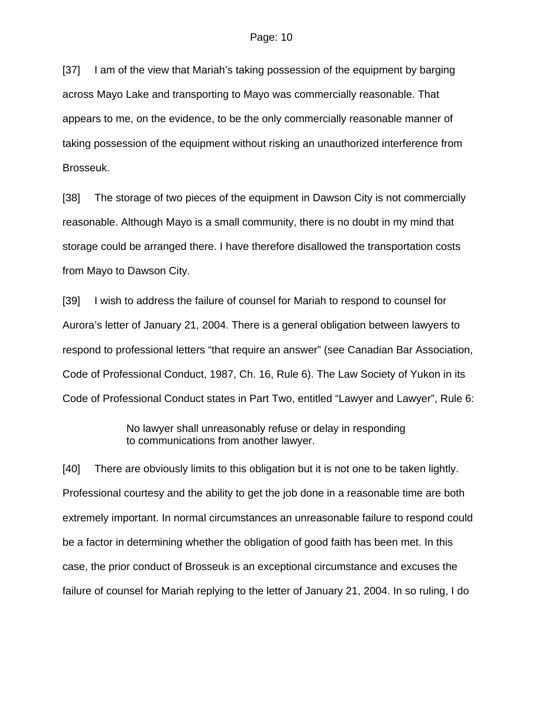[37] I am of the view that Mariah's taking possession of the equipment by barging across Mayo Lake and transporting to Mayo was commercially reasonable. That appears to me, on the evidence, to be the only commercially reasonable manner of taking possession of the equipment without risking an unauthorized interference from Brosseuk.

[38] The storage of two pieces of the equipment in Dawson City is not commercially reasonable. Although Mayo is a small community, there is no doubt in my mind that storage could be arranged there. I have therefore disallowed the transportation costs from Mayo to Dawson City.

[39] I wish to address the failure of counsel for Mariah to respond to counsel for Aurora's letter of January 21, 2004. There is a general obligation between lawyers to respond to professional letters "that require an answer" (see Canadian Bar Association, Code of Professional Conduct, 1987, Ch. 16, Rule 6). The Law Society of Yukon in its Code of Professional Conduct states in Part Two, entitled "Lawyer and Lawyer", Rule 6:

> No lawyer shall unreasonably refuse or delay in responding to communications from another lawyer.

[40] There are obviously limits to this obligation but it is not one to be taken lightly. Professional courtesy and the ability to get the job done in a reasonable time are both extremely important. In normal circumstances an unreasonable failure to respond could be a factor in determining whether the obligation of good faith has been met. In this case, the prior conduct of Brosseuk is an exceptional circumstance and excuses the failure of counsel for Mariah replying to the letter of January 21, 2004. In so ruling, I do